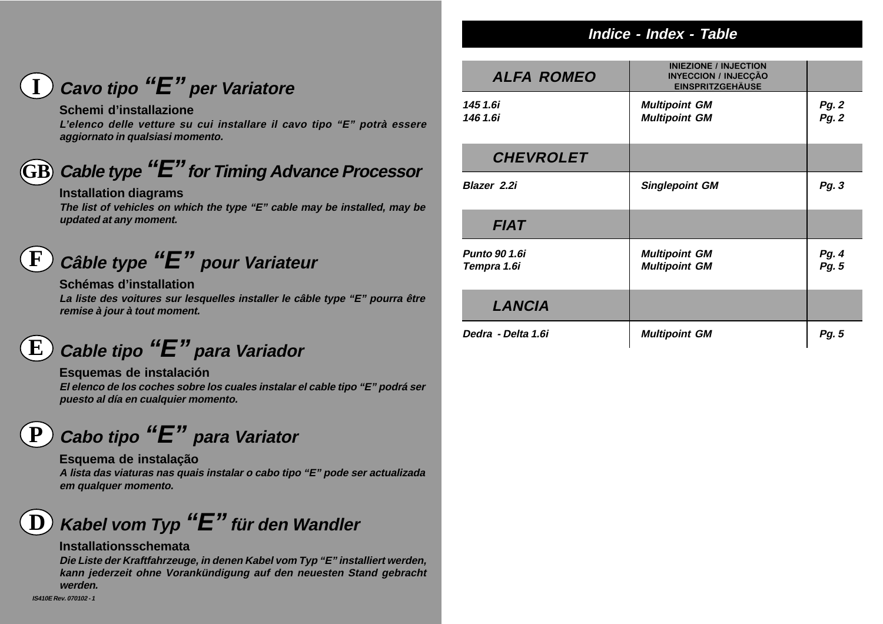# **Indice - Index - Table**



**Schemi d'installazione L'elenco delle vetture su cui installare il cavo tipo "E" potrà essere aggiornato in qualsiasi momento.**

## **Cable type "E" for Timing Advance Processor GB**

## **Installation diagrams**

**The list of vehicles on which the type "E" cable may be installed, may be updated at any moment.**



## **Schémas d'installation**

**La liste des voitures sur lesquelles installer le câble type "E" pourra être remise à jour à tout moment.**

#### **Cable tipo "E" para Variador E**

**Esquemas de instalación El elenco de los coches sobre los cuales instalar el cable tipo "E" podrá ser puesto al día en cualquier momento.**

#### **Cabo tipo "E" para Variator P**

**Esquema de instalação A lista das viaturas nas quais instalar o cabo tipo "E" pode ser actualizada em qualquer momento.**



#### **Installationsschemata**

**Die Liste der Kraftfahrzeuge, in denen Kabel vom Typ "E" installiert werden, kann jederzeit ohne Vorankündigung auf den neuesten Stand gebracht werden.**

 **IS410E Rev. 070102 - 1**

| <b>ALFA ROMEO</b>                   | <b>INIEZIONE / INJECTION</b><br><b>INYECCION / INJECÇÃO</b><br><b>EINSPRITZGEHÄUSE</b> |                       |
|-------------------------------------|----------------------------------------------------------------------------------------|-----------------------|
| 145 1.6i<br>146 1.6i                | <b>Multipoint GM</b><br><b>Multipoint GM</b>                                           | <b>Pg. 2</b><br>Pg. 2 |
| <b>CHEVROLET</b>                    |                                                                                        |                       |
| Blazer 2.2i                         | <b>Singlepoint GM</b>                                                                  | Pg. 3                 |
| <b>FIAT</b>                         |                                                                                        |                       |
| <b>Punto 90 1.6i</b><br>Tempra 1.6i | <b>Multipoint GM</b><br><b>Multipoint GM</b>                                           | Pg. 4<br>Pg. 5        |
| <b>LANCIA</b>                       |                                                                                        |                       |
| Dedra - Delta 1.6i                  | <b>Multipoint GM</b>                                                                   | Pg. 5                 |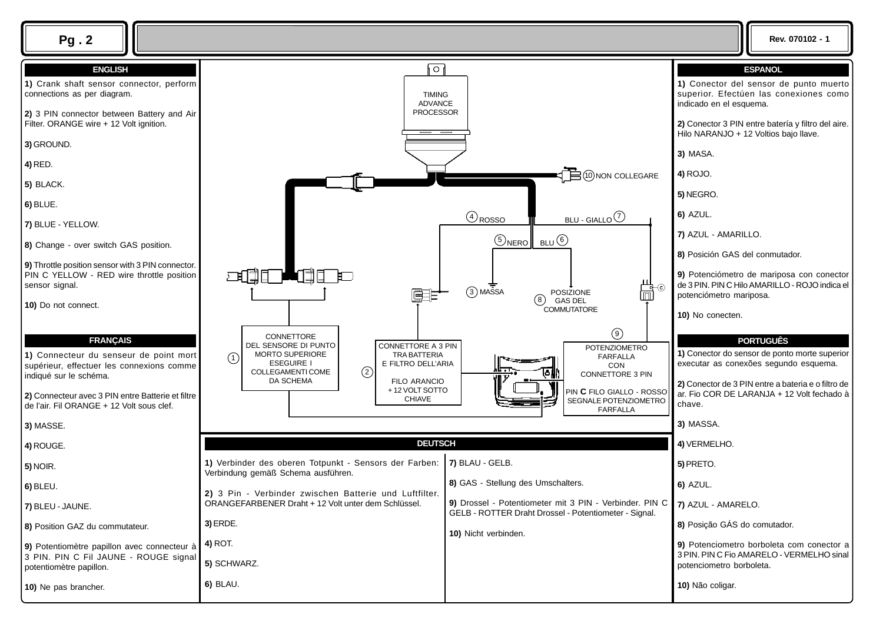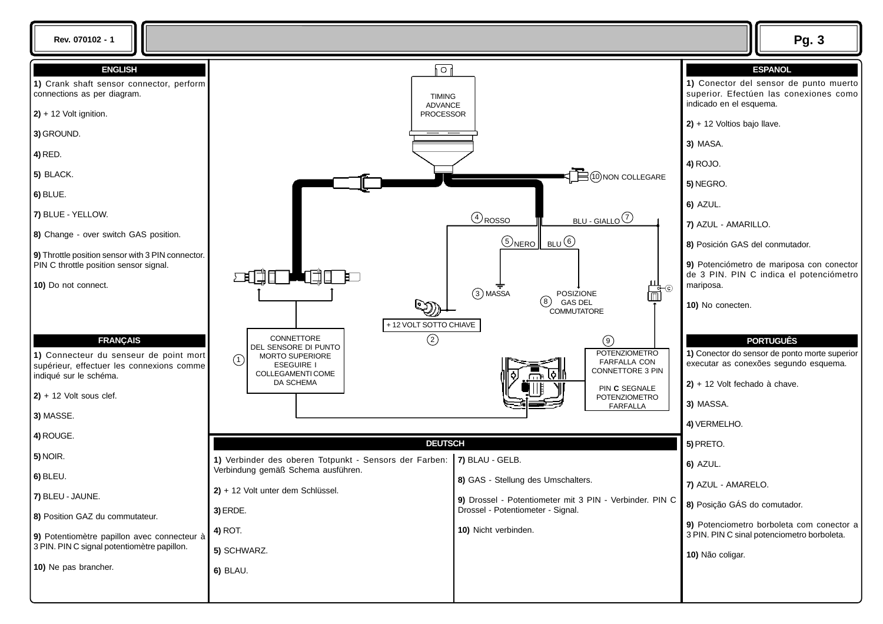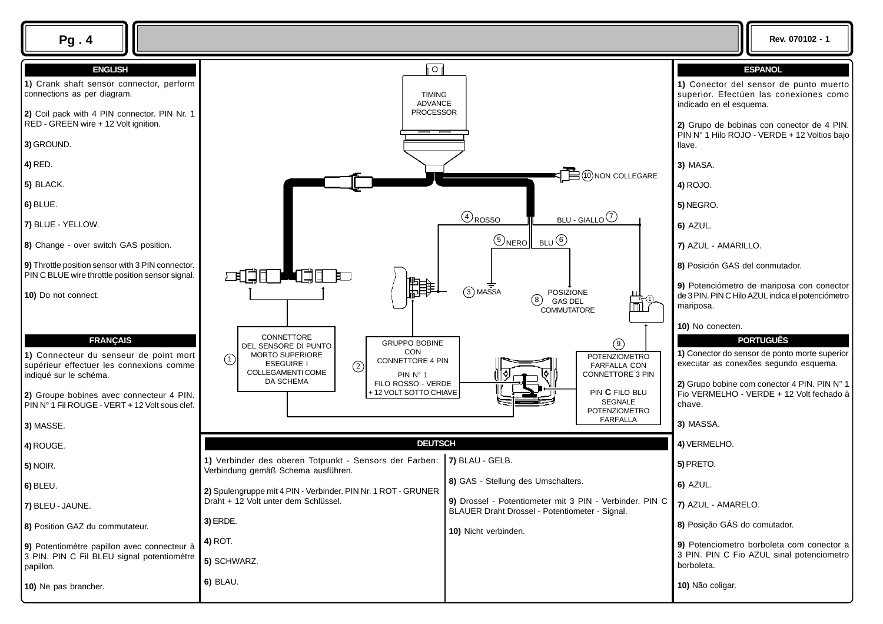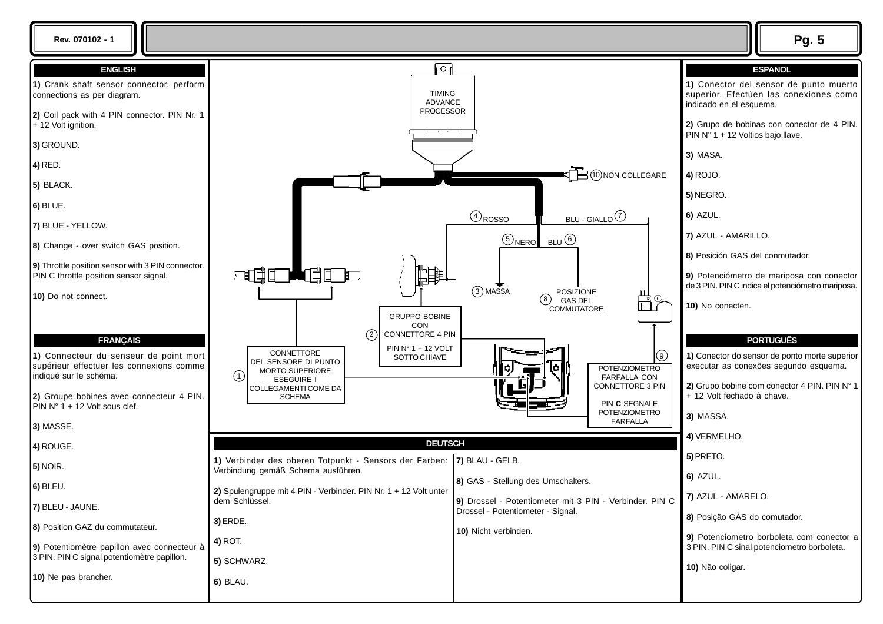**Rev. 070102 - 1 Pg. 5**

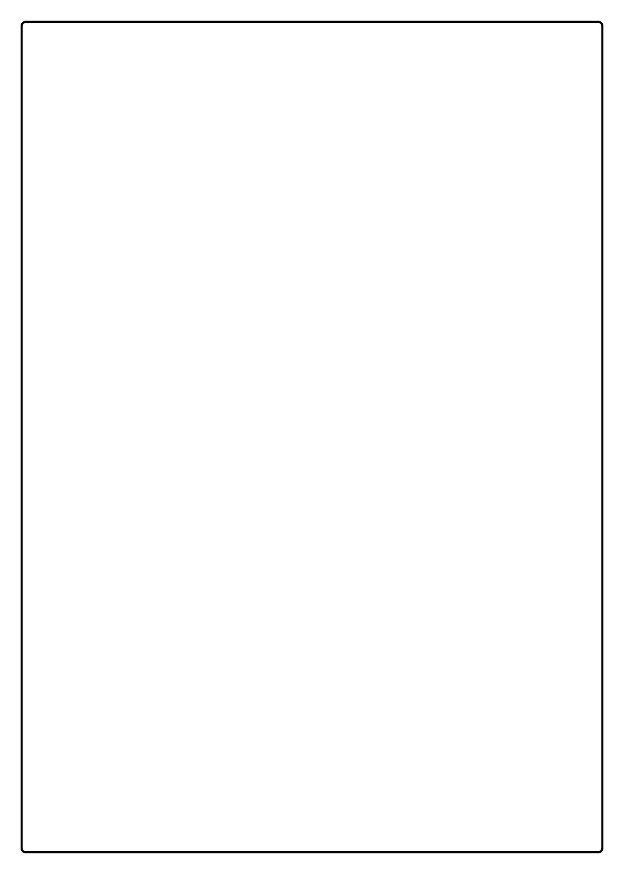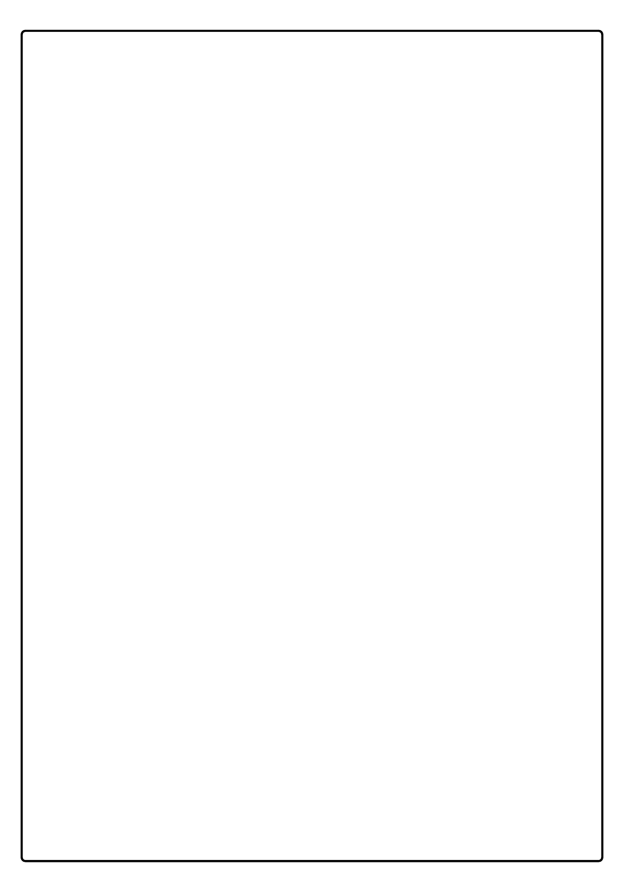